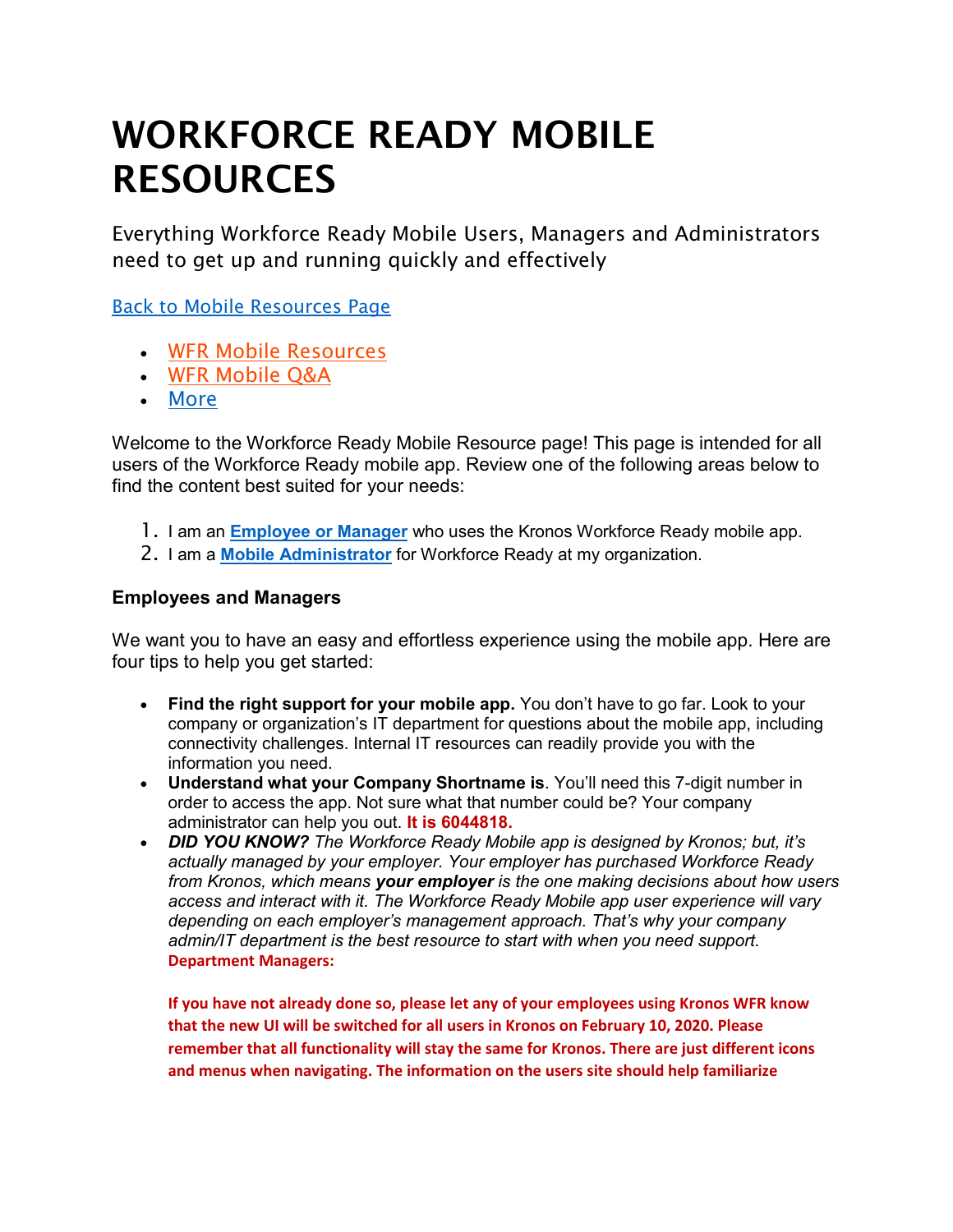# WORKFORCE READY MOBILE RESOURCES

Everything Workforce Ready Mobile Users, Managers and Administrators need to get up and running quickly and effectively

[Back to Mobile Resources Page](https://community.kronos.com/s/mobile)

- [WFR Mobile Resources](https://community.kronos.com/s/wfr-mobile?tabset-d5799=1)
- [WFR Mobile Q&A](https://community.kronos.com/s/wfr-mobile?tabset-d5799=2)
- [More](javascript:void(0);)

Welcome to the Workforce Ready Mobile Resource page! This page is intended for all users of the Workforce Ready mobile app. Review one of the following areas below to find the content best suited for your needs:

- 1. I am an **[Employee or Manager](https://community.kronos.com/s/wfr-mobile#Emp)** who uses the Kronos Workforce Ready mobile app.
- 2. I am a **[Mobile Administrator](https://community.kronos.com/s/wfr-mobile#Adm)** for Workforce Ready at my organization.

### **Employees and Managers**

We want you to have an easy and effortless experience using the mobile app. Here are four tips to help you get started:

- **Find the right support for your mobile app.** You don't have to go far. Look to your company or organization's IT department for questions about the mobile app, including connectivity challenges. Internal IT resources can readily provide you with the information you need.
- **Understand what your Company Shortname is**. You'll need this 7-digit number in order to access the app. Not sure what that number could be? Your company administrator can help you out. **It is 6044818.**
- *DID YOU KNOW? The Workforce Ready Mobile app is designed by Kronos; but, it's actually managed by your employer. Your employer has purchased Workforce Ready from Kronos, which means your employer is the one making decisions about how users access and interact with it. The Workforce Ready Mobile app user experience will vary depending on each employer's management approach. That's why your company admin/IT department is the best resource to start with when you need support.*  **Department Managers:**

**If you have not already done so, please let any of your employees using Kronos WFR know that the new UI will be switched for all users in Kronos on February 10, 2020. Please remember that all functionality will stay the same for Kronos. There are just different icons and menus when navigating. The information on the users site should help familiarize**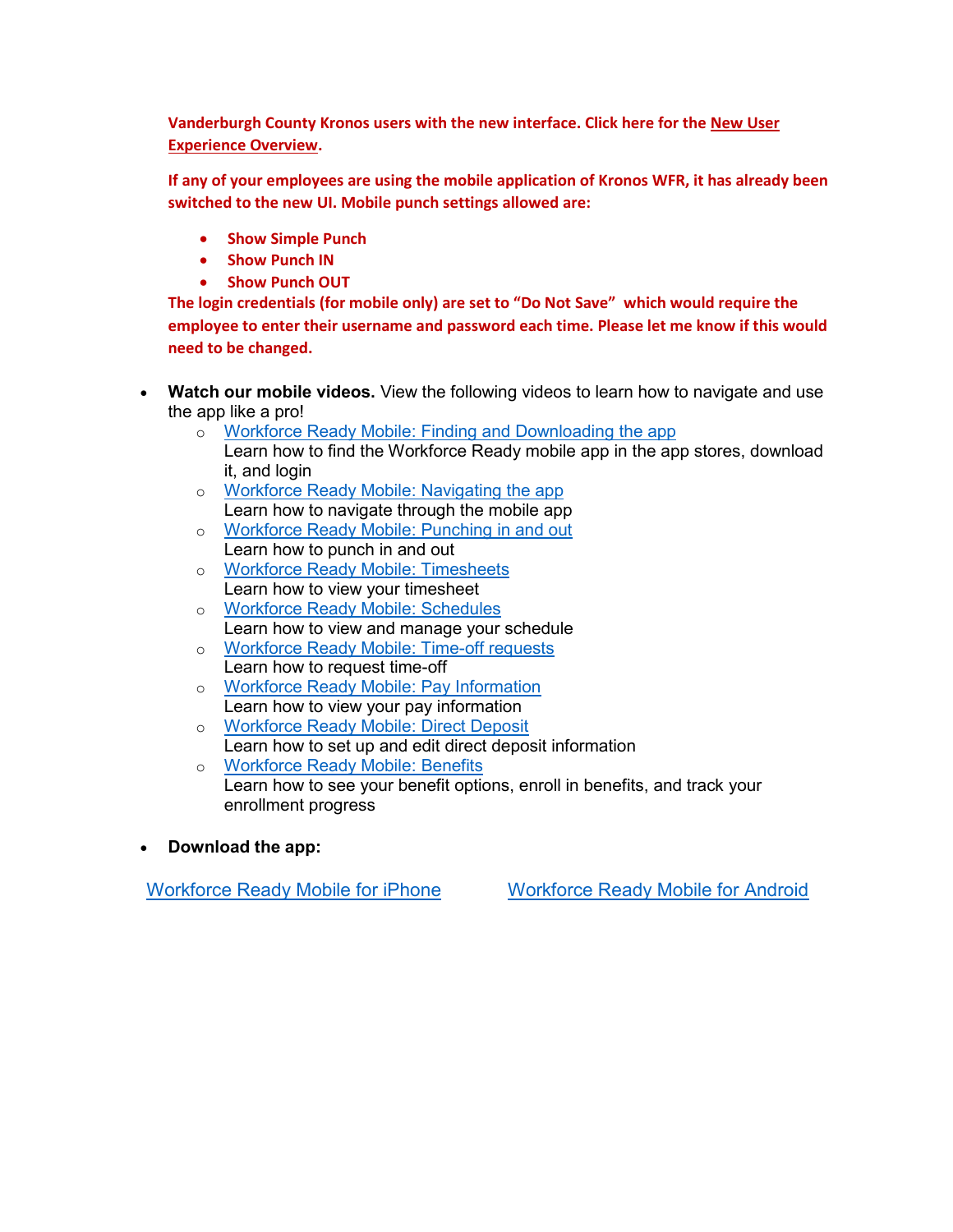**Vanderburgh County Kronos users with the new interface. Click here for the [New User](https://www.evansvillegov.org/egov/apps/document/center.egov?view=item;id=5530)  [Experience Overview.](https://www.evansvillegov.org/egov/apps/document/center.egov?view=item;id=5530)**

**If any of your employees are using the mobile application of Kronos WFR, it has already been switched to the new UI. Mobile punch settings allowed are:**

- **Show Simple Punch**
- **Show Punch IN**
- **Show Punch OUT**

**The login credentials (for mobile only) are set to "Do Not Save" which would require the employee to enter their username and password each time. Please let me know if this would need to be changed.**

- **Watch our mobile videos.** View the following videos to learn how to navigate and use the app like a pro!
	- o [Workforce Ready Mobile: Finding and Downloading the app](https://youtu.be/ti_JNk3TIbU)
	- Learn how to find the Workforce Ready mobile app in the app stores, download it, and login
	- o [Workforce Ready Mobile: Navigating the app](https://youtu.be/gzsx5_ohKRs) Learn how to navigate through the mobile app
	- o [Workforce Ready Mobile: Punching in and out](https://youtu.be/VCq3BlzoPEI) Learn how to punch in and out
	- o [Workforce Ready Mobile: Timesheets](https://youtu.be/3_TIT0KvfOA) Learn how to view your timesheet
	- o [Workforce Ready Mobile: Schedules](https://youtu.be/m4Wik9EKJEA) Learn how to view and manage your schedule
	- o [Workforce Ready Mobile: Time-off requests](https://youtu.be/B6yveleWKMo) Learn how to request time-off
	- o [Workforce Ready Mobile: Pay Information](https://youtu.be/ljrbOV-QqnU) Learn how to view your pay information
	- o [Workforce Ready Mobile: Direct Deposit](https://youtu.be/5qBZj_SDMn8) Learn how to set up and edit direct deposit information
	- o [Workforce Ready Mobile:](https://youtu.be/UHsiNwKMZHU) Benefits Learn how to see your benefit options, enroll in benefits, and track your enrollment progress
- **Download the app:**

[Workforce Ready Mobile for iPhone](https://itunes.apple.com/us/app/kronos-workforce-ready-mobile/id1231506825?mt=8) [Workforce Ready Mobile for Android](https://play.google.com/store/apps/details?id=com.kronos.workforceready)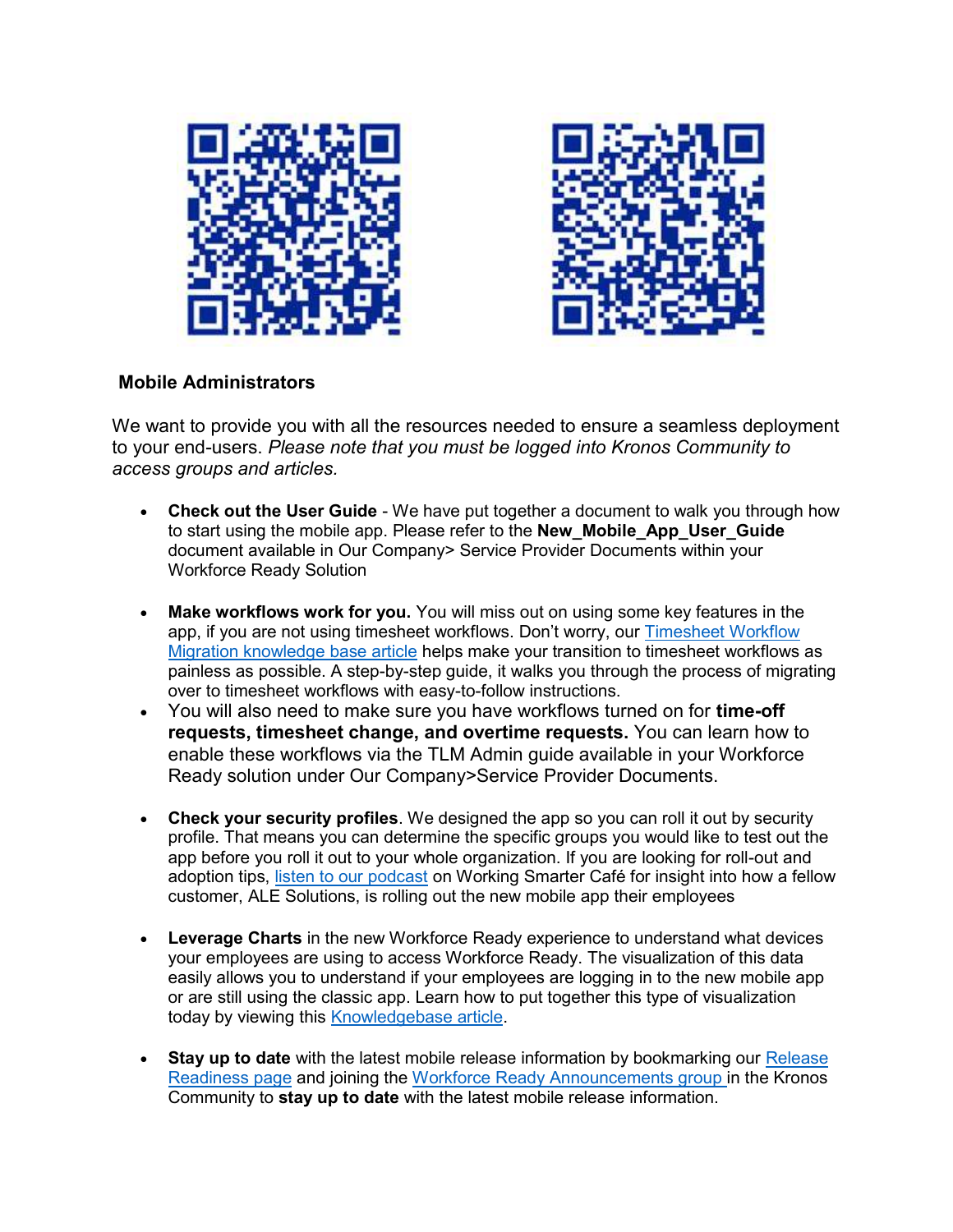



### **Mobile Administrators**

We want to provide you with all the resources needed to ensure a seamless deployment to your end-users. *Please note that you must be logged into Kronos Community to access groups and articles.*

- **Check out the User Guide** We have put together a document to walk you through how to start using the mobile app. Please refer to the **New\_Mobile\_App\_User\_Guide** document available in Our Company> Service Provider Documents within your Workforce Ready Solution
- **Make workflows work for you.** You will miss out on using some key features in the app, if you are not using timesheet workflows. Don't worry, our [Timesheet Workflow](https://community.kronos.com/s/article/Timesheet-Workflow-Migration)  [Migration knowledge base article](https://community.kronos.com/s/article/Timesheet-Workflow-Migration) helps make your transition to timesheet workflows as painless as possible. A step-by-step guide, it walks you through the process of migrating over to timesheet workflows with easy-to-follow instructions.
- You will also need to make sure you have workflows turned on for **time-off requests, timesheet change, and overtime requests.** You can learn how to enable these workflows via the TLM Admin guide available in your Workforce Ready solution under Our Company>Service Provider Documents.
- **Check your security profiles**. We designed the app so you can roll it out by security profile. That means you can determine the specific groups you would like to test out the app before you roll it out to your whole organization. If you are looking for roll-out and adoption tips, [listen to our podcast](https://www.kronos.com/blogs/working-smarter-cafe/podcast-fireside-chat-ale-solutions-rolling-out-workforce-ready-mobile) on Working Smarter Café for insight into how a fellow customer, ALE Solutions, is rolling out the new mobile app their employees
- **Leverage Charts** in the new Workforce Ready experience to understand what devices your employees are using to access Workforce Ready. The visualization of this data easily allows you to understand if your employees are logging in to the new mobile app or are still using the classic app. Learn how to put together this type of visualization today by viewing this [Knowledgebase article.](https://community.kronos.com/s/article/Create-a-Chart-in-the-Workforce-Ready-to-understand-what-devices-employees-are-using-to-log-in-from)
- **Stay up to date** with the latest mobile release information by bookmarking our [Release](https://community.kronos.com/s/release-readiness)  [Readiness page](https://community.kronos.com/s/release-readiness) and joining the [Workforce Ready Announcements group i](https://community.kronos.com/s/group/0F961000000EZJWCA4/workforce-ready-announcements)n the Kronos Community to **stay up to date** with the latest mobile release information.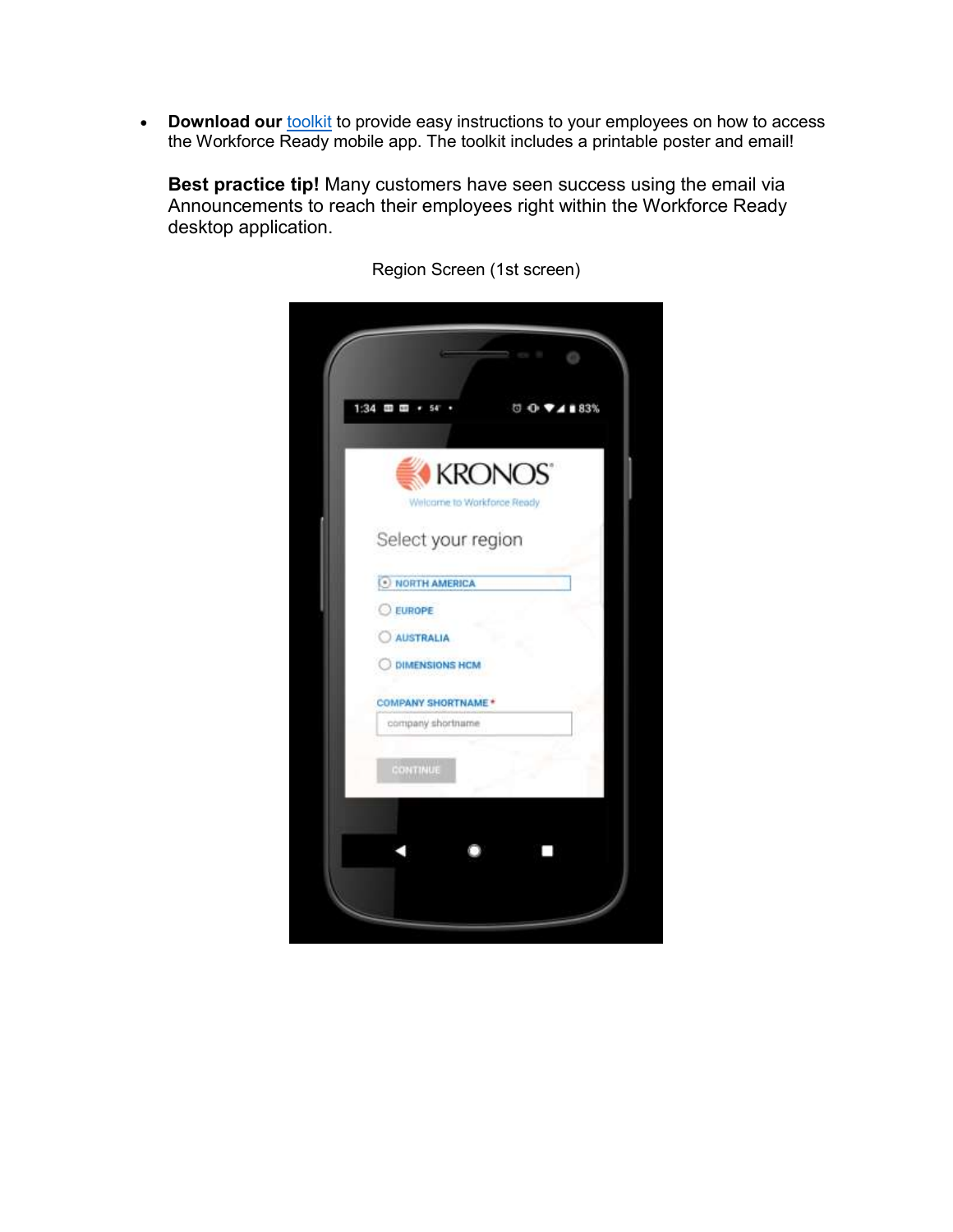• **Download our [toolkit](https://community.kronos.com/s/contentdocument/0694M000007A8GVQA0)** to provide easy instructions to your employees on how to access the Workforce Ready mobile app. The toolkit includes a printable poster and email!

**Best practice tip!** Many customers have seen success using the email via Announcements to reach their employees right within the Workforce Ready desktop application.



Region Screen (1st screen)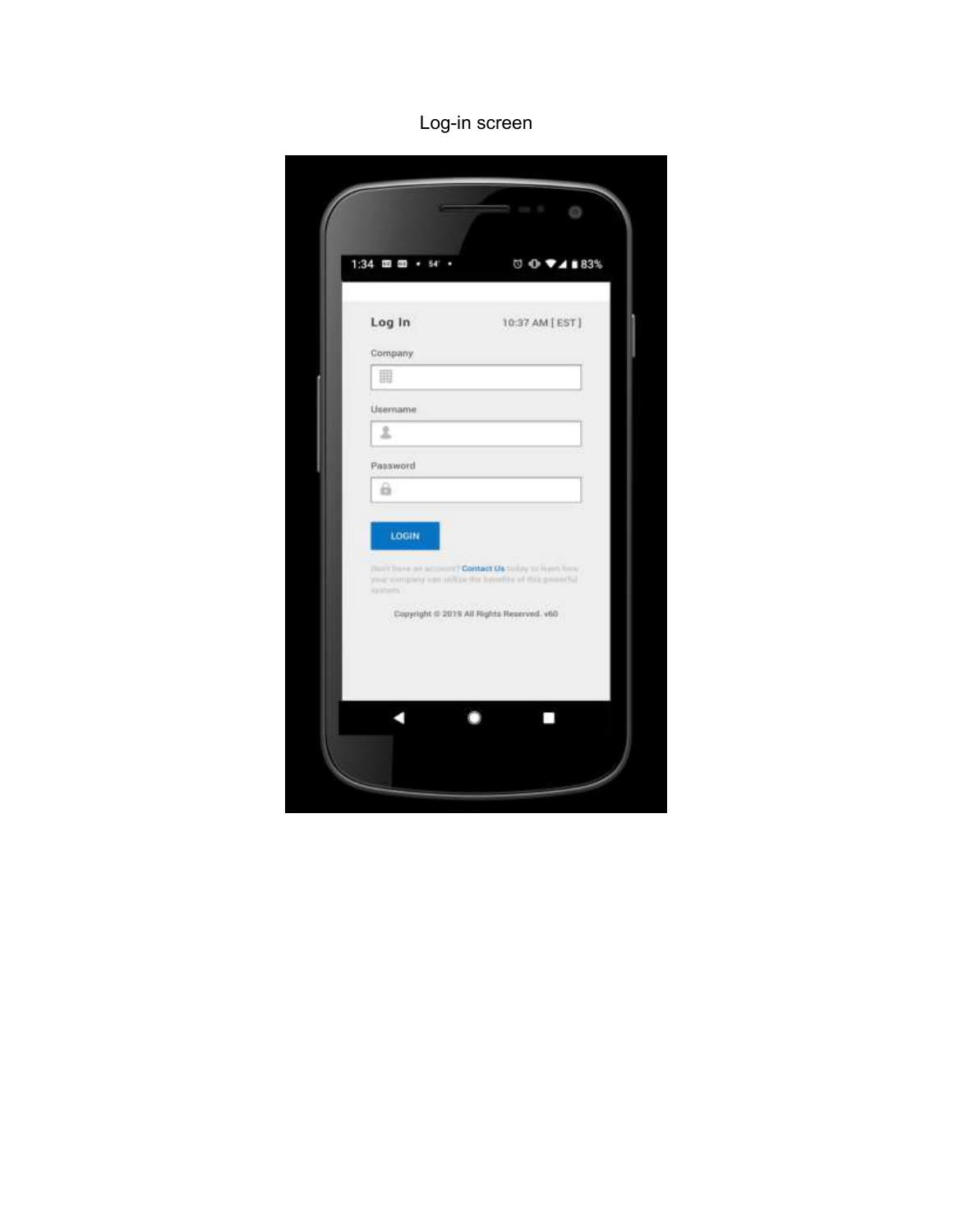## Log-in screen

| 噩<br>2<br>a.<br>LOGIN | Company<br>Lisername<br>Password<br>Dutil have an account? Contact Us to lay to meet here.<br>also complete can atthret the hemitics of this powerful<br>instern."<br>Copyright @ 2019 All Rights Reserved. v60 |  |
|-----------------------|-----------------------------------------------------------------------------------------------------------------------------------------------------------------------------------------------------------------|--|
|                       |                                                                                                                                                                                                                 |  |
|                       |                                                                                                                                                                                                                 |  |
|                       |                                                                                                                                                                                                                 |  |
|                       |                                                                                                                                                                                                                 |  |
|                       |                                                                                                                                                                                                                 |  |
|                       |                                                                                                                                                                                                                 |  |
|                       |                                                                                                                                                                                                                 |  |